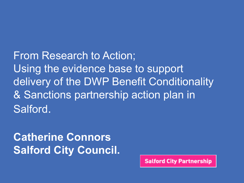From Research to Action; Using the evidence base to support delivery of the DWP Benefit Conditionality & Sanctions partnership action plan in Salford.

#### **Catherine Connors Salford City Council.**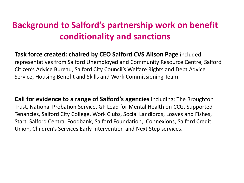#### **Background to Salford's partnership work on benefit conditionality and sanctions**

**Task force created: chaired by CEO Salford CVS Alison Page** included representatives from Salford Unemployed and Community Resource Centre, Salford Citizen's Advice Bureau, Salford City Council's Welfare Rights and Debt Advice Service, Housing Benefit and Skills and Work Commissioning Team.

**Call for evidence to a range of Salford's agencies** including; The Broughton Trust, National Probation Service, GP Lead for Mental Health on CCG, Supported Tenancies, Salford City College, Work Clubs, Social Landlords, Loaves and Fishes, Start, Salford Central Foodbank, Salford Foundation, Connexions, Salford Credit Union, Children's Services Early Intervention and Next Step services.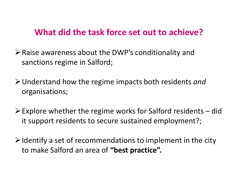#### **What did the task force set out to achieve?**

- ➢Raise awareness about the DWP's conditionality and sanctions regime in Salford;
- ➢Understand how the regime impacts both residents *and*  organisations;
- $\triangleright$  Explore whether the regime works for Salford residents did it support residents to secure sustained employment?;
- $\triangleright$  Identify a set of recommendations to implement in the city to make Salford an area of **"best practice".**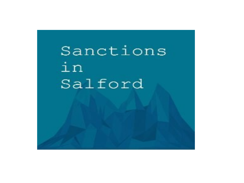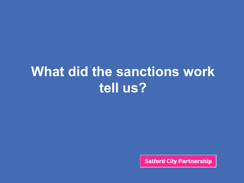## **What did the sanctions work tell us?**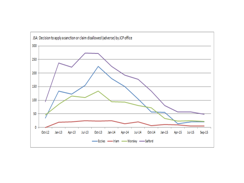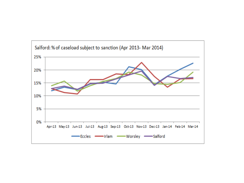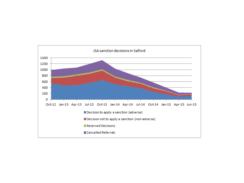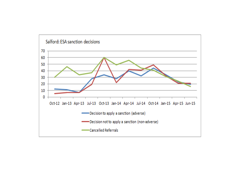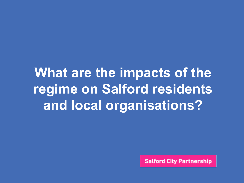# **What are the impacts of the regime on Salford residents and local organisations?**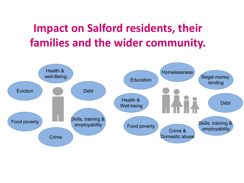#### **Impact on Salford residents, their families and the wider community.**

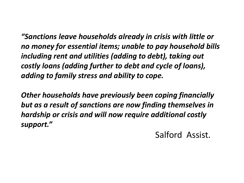*"Sanctions leave households already in crisis with little or no money for essential items; unable to pay household bills including rent and utilities (adding to debt), taking out costly loans (adding further to debt and cycle of loans), adding to family stress and ability to cope.*

*Other households have previously been coping financially but as a result of sanctions are now finding themselves in hardship or crisis and will now require additional costly support."*

Salford Assist.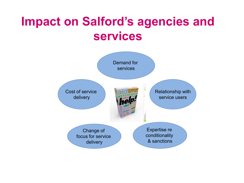### **Impact on Salford's agencies and services**

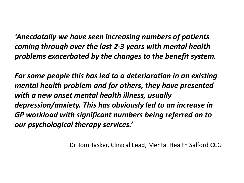*'Anecdotally we have seen increasing numbers of patients coming through over the last 2-3 years with mental health problems exacerbated by the changes to the benefit system.*

*For some people this has led to a deterioration in an existing mental health problem and for others, they have presented with a new onset mental health illness, usually depression/anxiety. This has obviously led to an increase in GP workload with significant numbers being referred on to our psychological therapy services.'*

Dr Tom Tasker, Clinical Lead, Mental Health Salford CCG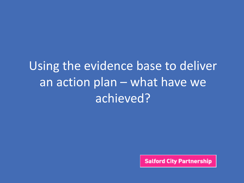# Using the evidence base to deliver an action plan – what have we achieved?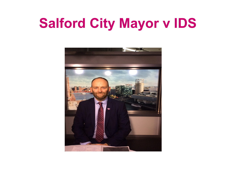# **Salford City Mayor v IDS**

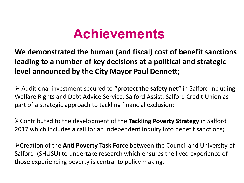## **Achievements**

**We demonstrated the human (and fiscal) cost of benefit sanctions leading to a number of key decisions at a political and strategic level announced by the City Mayor Paul Dennett;**

➢ Additional investment secured to **"protect the safety net"** in Salford including Welfare Rights and Debt Advice Service, Salford Assist, Salford Credit Union as part of a strategic approach to tackling financial exclusion;

➢Contributed to the development of the **Tackling Poverty Strategy** in Salford 2017 which includes a call for an independent inquiry into benefit sanctions;

➢Creation of the **Anti Poverty Task Force** between the Council and University of Salford (SHUSU) to undertake research which ensures the lived experience of those experiencing poverty is central to policy making.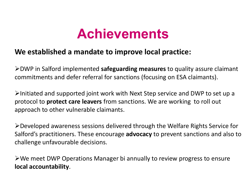## **Achievements**

#### **We established a mandate to improve local practice:**

➢DWP in Salford implemented **safeguarding measures** to quality assure claimant commitments and defer referral for sanctions (focusing on ESA claimants).

➢Initiated and supported joint work with Next Step service and DWP to set up a protocol to **protect care leavers** from sanctions. We are working to roll out approach to other vulnerable claimants.

➢Developed awareness sessions delivered through the Welfare Rights Service for Salford's practitioners. These encourage **advocacy** to prevent sanctions and also to challenge unfavourable decisions.

➢We meet DWP Operations Manager bi annually to review progress to ensure **local accountability**.